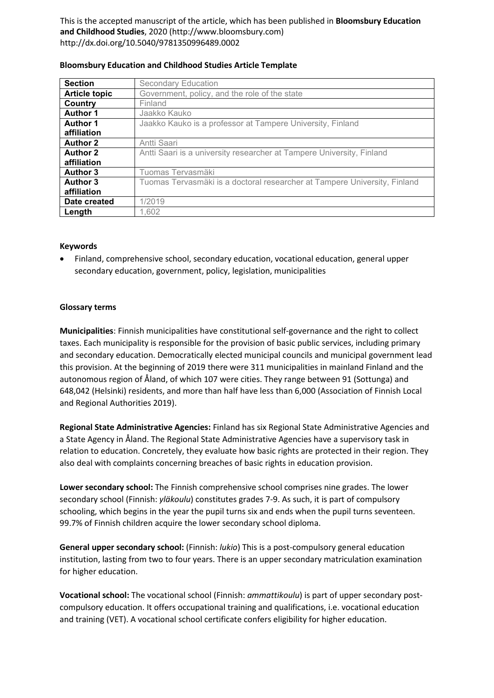This is the accepted manuscript of the article, which has been published in **Bloomsbury Education and Childhood Studies**, 2020 (http://www.bloomsbury.com) http://dx.doi.org/10.5040/9781350996489.0002

| <b>Section</b>       | <b>Secondary Education</b>                                                |
|----------------------|---------------------------------------------------------------------------|
| <b>Article topic</b> | Government, policy, and the role of the state                             |
| Country              | Finland                                                                   |
| <b>Author 1</b>      | Jaakko Kauko                                                              |
| <b>Author 1</b>      | Jaakko Kauko is a professor at Tampere University, Finland                |
| affiliation          |                                                                           |
| <b>Author 2</b>      | Antti Saari                                                               |
| <b>Author 2</b>      | Antti Saari is a university researcher at Tampere University, Finland     |
| affiliation          |                                                                           |
| <b>Author 3</b>      | Tuomas Tervasmäki                                                         |
| <b>Author 3</b>      | Tuomas Tervasmäki is a doctoral researcher at Tampere University, Finland |
| affiliation          |                                                                           |
| Date created         | 1/2019                                                                    |
| Length               | 1.602                                                                     |

#### **Bloomsbury Education and Childhood Studies Article Template**

### **Keywords**

• Finland, comprehensive school, secondary education, vocational education, general upper secondary education, government, policy, legislation, municipalities

#### **Glossary terms**

**Municipalities**: Finnish municipalities have constitutional self-governance and the right to collect taxes. Each municipality is responsible for the provision of basic public services, including primary and secondary education. Democratically elected municipal councils and municipal government lead this provision. At the beginning of 2019 there were 311 municipalities in mainland Finland and the autonomous region of Åland, of which 107 were cities. They range between 91 (Sottunga) and 648,042 (Helsinki) residents, and more than half have less than 6,000 (Association of Finnish Local and Regional Authorities 2019).

**Regional State Administrative Agencies:** Finland has six Regional State Administrative Agencies and a State Agency in Åland. The Regional State Administrative Agencies have a supervisory task in relation to education. Concretely, they evaluate how basic rights are protected in their region. They also deal with complaints concerning breaches of basic rights in education provision.

**Lower secondary school:** The Finnish comprehensive school comprises nine grades. The lower secondary school (Finnish: *yläkoulu*) constitutes grades 7-9. As such, it is part of compulsory schooling, which begins in the year the pupil turns six and ends when the pupil turns seventeen. 99.7% of Finnish children acquire the lower secondary school diploma.

**General upper secondary school:** (Finnish: *lukio*) This is a post-compulsory general education institution, lasting from two to four years. There is an upper secondary matriculation examination for higher education.

**Vocational school:** The vocational school (Finnish: *ammattikoulu*) is part of upper secondary postcompulsory education. It offers occupational training and qualifications, i.e. vocational education and training (VET). A vocational school certificate confers eligibility for higher education.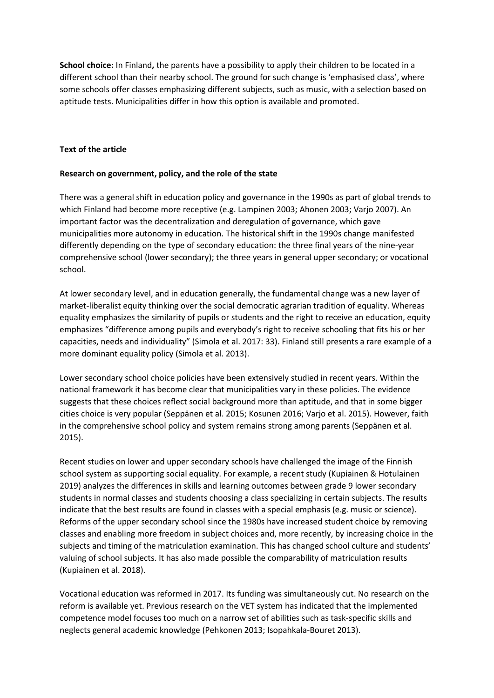**School choice:** In Finland**,** the parents have a possibility to apply their children to be located in a different school than their nearby school. The ground for such change is 'emphasised class', where some schools offer classes emphasizing different subjects, such as music, with a selection based on aptitude tests. Municipalities differ in how this option is available and promoted.

### **Text of the article**

### **Research on government, policy, and the role of the state**

There was a general shift in education policy and governance in the 1990s as part of global trends to which Finland had become more receptive (e.g. Lampinen 2003; Ahonen 2003; Varjo 2007). An important factor was the decentralization and deregulation of governance, which gave municipalities more autonomy in education. The historical shift in the 1990s change manifested differently depending on the type of secondary education: the three final years of the nine-year comprehensive school (lower secondary); the three years in general upper secondary; or vocational school.

At lower secondary level, and in education generally, the fundamental change was a new layer of market-liberalist equity thinking over the social democratic agrarian tradition of equality. Whereas equality emphasizes the similarity of pupils or students and the right to receive an education, equity emphasizes "difference among pupils and everybody's right to receive schooling that fits his or her capacities, needs and individuality" (Simola et al. 2017: 33). Finland still presents a rare example of a more dominant equality policy (Simola et al. 2013).

Lower secondary school choice policies have been extensively studied in recent years. Within the national framework it has become clear that municipalities vary in these policies. The evidence suggests that these choices reflect social background more than aptitude, and that in some bigger cities choice is very popular (Seppänen et al. 2015; Kosunen 2016; Varjo et al. 2015). However, faith in the comprehensive school policy and system remains strong among parents (Seppänen et al. 2015).

Recent studies on lower and upper secondary schools have challenged the image of the Finnish school system as supporting social equality. For example, a recent study (Kupiainen & Hotulainen 2019) analyzes the differences in skills and learning outcomes between grade 9 lower secondary students in normal classes and students choosing a class specializing in certain subjects. The results indicate that the best results are found in classes with a special emphasis (e.g. music or science). Reforms of the upper secondary school since the 1980s have increased student choice by removing classes and enabling more freedom in subject choices and, more recently, by increasing choice in the subjects and timing of the matriculation examination. This has changed school culture and students' valuing of school subjects. It has also made possible the comparability of matriculation results (Kupiainen et al. 2018).

Vocational education was reformed in 2017. Its funding was simultaneously cut. No research on the reform is available yet. Previous research on the VET system has indicated that the implemented competence model focuses too much on a narrow set of abilities such as task-specific skills and neglects general academic knowledge (Pehkonen 2013; Isopahkala-Bouret 2013).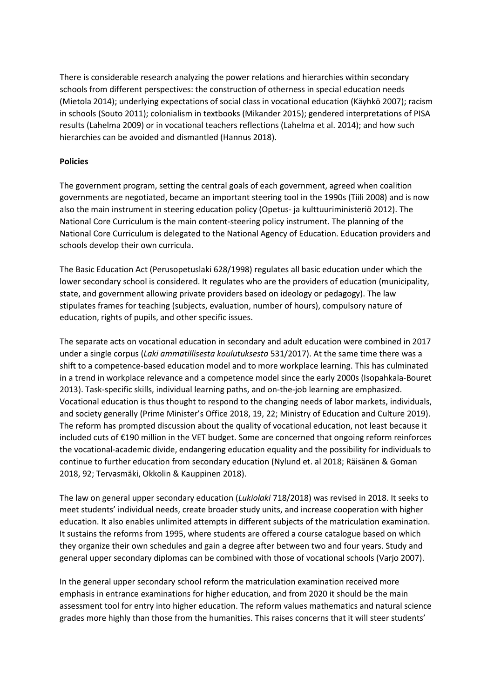There is considerable research analyzing the power relations and hierarchies within secondary schools from different perspectives: the construction of otherness in special education needs (Mietola 2014); underlying expectations of social class in vocational education (Käyhkö 2007); racism in schools (Souto 2011); colonialism in textbooks (Mikander 2015); gendered interpretations of PISA results (Lahelma 2009) or in vocational teachers reflections (Lahelma et al. 2014); and how such hierarchies can be avoided and dismantled (Hannus 2018).

# **Policies**

The government program, setting the central goals of each government, agreed when coalition governments are negotiated, became an important steering tool in the 1990s (Tiili 2008) and is now also the main instrument in steering education policy (Opetus- ja kulttuuriministeriö 2012). The National Core Curriculum is the main content-steering policy instrument. The planning of the National Core Curriculum is delegated to the National Agency of Education. Education providers and schools develop their own curricula.

The Basic Education Act (Perusopetuslaki 628/1998) regulates all basic education under which the lower secondary school is considered. It regulates who are the providers of education (municipality, state, and government allowing private providers based on ideology or pedagogy). The law stipulates frames for teaching (subjects, evaluation, number of hours), compulsory nature of education, rights of pupils, and other specific issues.

The separate acts on vocational education in secondary and adult education were combined in 2017 under a single corpus (*Laki ammatillisesta koulutuksesta* 531/2017). At the same time there was a shift to a competence-based education model and to more workplace learning. This has culminated in a trend in workplace relevance and a competence model since the early 2000s (Isopahkala-Bouret 2013). Task-specific skills, individual learning paths, and on-the-job learning are emphasized. Vocational education is thus thought to respond to the changing needs of labor markets, individuals, and society generally (Prime Minister's Office 2018, 19, 22; Ministry of Education and Culture 2019). The reform has prompted discussion about the quality of vocational education, not least because it included cuts of €190 million in the VET budget. Some are concerned that ongoing reform reinforces the vocational-academic divide, endangering education equality and the possibility for individuals to continue to further education from secondary education (Nylund et. al 2018; Räisänen & Goman 2018, 92; Tervasmäki, Okkolin & Kauppinen 2018).

The law on general upper secondary education (*Lukiolaki* 718/2018) was revised in 2018. It seeks to meet students' individual needs, create broader study units, and increase cooperation with higher education. It also enables unlimited attempts in different subjects of the matriculation examination. It sustains the reforms from 1995, where students are offered a course catalogue based on which they organize their own schedules and gain a degree after between two and four years. Study and general upper secondary diplomas can be combined with those of vocational schools (Varjo 2007).

In the general upper secondary school reform the matriculation examination received more emphasis in entrance examinations for higher education, and from 2020 it should be the main assessment tool for entry into higher education. The reform values mathematics and natural science grades more highly than those from the humanities. This raises concerns that it will steer students'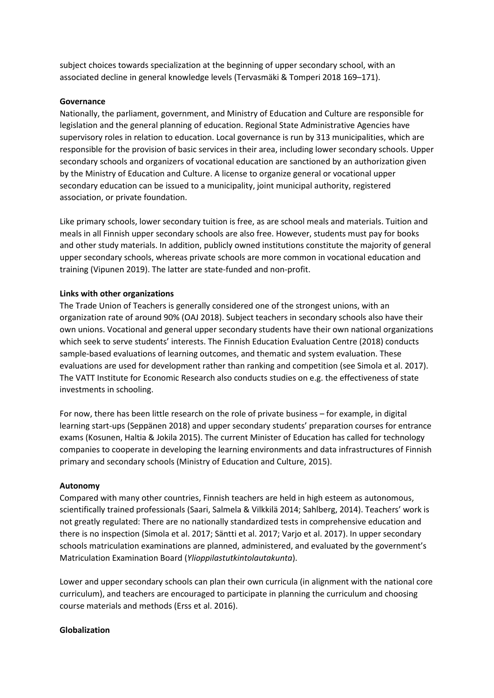subject choices towards specialization at the beginning of upper secondary school, with an associated decline in general knowledge levels (Tervasmäki & Tomperi 2018 169–171).

### **Governance**

Nationally, the parliament, government, and Ministry of Education and Culture are responsible for legislation and the general planning of education. Regional State Administrative Agencies have supervisory roles in relation to education. Local governance is run by 313 municipalities, which are responsible for the provision of basic services in their area, including lower secondary schools. Upper secondary schools and organizers of vocational education are sanctioned by an authorization given by the Ministry of Education and Culture. A license to organize general or vocational upper secondary education can be issued to a municipality, joint municipal authority, registered association, or private foundation.

Like primary schools, lower secondary tuition is free, as are school meals and materials. Tuition and meals in all Finnish upper secondary schools are also free. However, students must pay for books and other study materials. In addition, publicly owned institutions constitute the majority of general upper secondary schools, whereas private schools are more common in vocational education and training (Vipunen 2019). The latter are state-funded and non-profit.

#### **Links with other organizations**

The Trade Union of Teachers is generally considered one of the strongest unions, with an organization rate of around 90% (OAJ 2018). Subject teachers in secondary schools also have their own unions. Vocational and general upper secondary students have their own national organizations which seek to serve students' interests. The Finnish Education Evaluation Centre (2018) conducts sample-based evaluations of learning outcomes, and thematic and system evaluation. These evaluations are used for development rather than ranking and competition (see Simola et al. 2017). The VATT Institute for Economic Research also conducts studies on e.g. the effectiveness of state investments in schooling.

For now, there has been little research on the role of private business – for example, in digital learning start-ups (Seppänen 2018) and upper secondary students' preparation courses for entrance exams (Kosunen, Haltia & Jokila 2015). The current Minister of Education has called for technology companies to cooperate in developing the learning environments and data infrastructures of Finnish primary and secondary schools (Ministry of Education and Culture, 2015).

#### **Autonomy**

Compared with many other countries, Finnish teachers are held in high esteem as autonomous, scientifically trained professionals (Saari, Salmela & Vilkkilä 2014; Sahlberg, 2014). Teachers' work is not greatly regulated: There are no nationally standardized tests in comprehensive education and there is no inspection (Simola et al. 2017; Säntti et al. 2017; Varjo et al. 2017). In upper secondary schools matriculation examinations are planned, administered, and evaluated by the government's Matriculation Examination Board (*Ylioppilastutkintolautakunta*).

Lower and upper secondary schools can plan their own curricula (in alignment with the national core curriculum), and teachers are encouraged to participate in planning the curriculum and choosing course materials and methods (Erss et al. 2016).

#### **Globalization**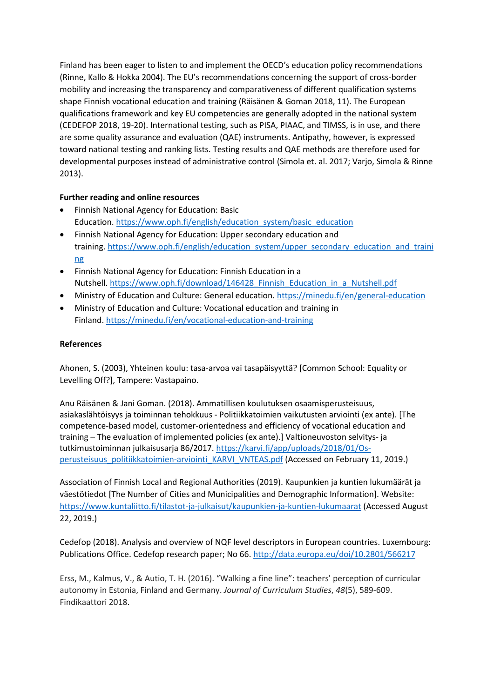Finland has been eager to listen to and implement the OECD's education policy recommendations (Rinne, Kallo & Hokka 2004). The EU's recommendations concerning the support of cross-border mobility and increasing the transparency and comparativeness of different qualification systems shape Finnish vocational education and training (Räisänen & Goman 2018, 11). The European qualifications framework and key EU competencies are generally adopted in the national system (CEDEFOP 2018, 19-20). International testing, such as PISA, PIAAC, and TIMSS, is in use, and there are some quality assurance and evaluation (QAE) instruments. Antipathy, however, is expressed toward national testing and ranking lists. Testing results and QAE methods are therefore used for developmental purposes instead of administrative control (Simola et. al. 2017; Varjo, Simola & Rinne 2013).

# **Further reading and online resources**

- Finnish National Agency for Education: Basic Education. [https://www.oph.fi/english/education\\_system/basic\\_education](https://www.oph.fi/english/education_system/basic_education)
- Finnish National Agency for Education: Upper secondary education and training. [https://www.oph.fi/english/education\\_system/upper\\_secondary\\_education\\_and\\_traini](https://www.oph.fi/english/education_system/upper_secondary_education_and_training) [ng](https://www.oph.fi/english/education_system/upper_secondary_education_and_training)
- Finnish National Agency for Education: Finnish Education in a Nutshell. [https://www.oph.fi/download/146428\\_Finnish\\_Education\\_in\\_a\\_Nutshell.pdf](https://www.oph.fi/download/146428_Finnish_Education_in_a_Nutshell.pdf)
- Ministry of Education and Culture: General education. <https://minedu.fi/en/general-education>
- Ministry of Education and Culture: Vocational education and training in Finland. <https://minedu.fi/en/vocational-education-and-training>

# **References**

Ahonen, S. (2003), Yhteinen koulu: tasa-arvoa vai tasapäisyyttä? [Common School: Equality or Levelling Off?], Tampere: Vastapaino.

Anu Räisänen & Jani Goman. (2018). Ammatillisen koulutuksen osaamisperusteisuus, asiakaslähtöisyys ja toiminnan tehokkuus - Politiikkatoimien vaikutusten arviointi (ex ante). [The competence-based model, customer-orientedness and efficiency of vocational education and training – The evaluation of implemented policies (ex ante).] Valtioneuvoston selvitys- ja tutkimustoiminnan julkaisusarja 86/2017[. https://karvi.fi/app/uploads/2018/01/Os](https://karvi.fi/app/uploads/2018/01/Os-perusteisuus_politiikkatoimien-arviointi_KARVI_VNTEAS.pdf)perusteisuus politiikkatoimien-arviointi KARVI VNTEAS.pdf (Accessed on February 11, 2019.)

Association of Finnish Local and Regional Authorities (2019). Kaupunkien ja kuntien lukumäärät ja väestötiedot [The Number of Cities and Municipalities and Demographic Information]. Website: <https://www.kuntaliitto.fi/tilastot-ja-julkaisut/kaupunkien-ja-kuntien-lukumaarat> (Accessed August 22, 2019.)

Cedefop (2018). Analysis and overview of NQF level descriptors in European countries. Luxembourg: Publications Office. Cedefop research paper; No 66.<http://data.europa.eu/doi/10.2801/566217>

Erss, M., Kalmus, V., & Autio, T. H. (2016). "Walking a fine line": teachers' perception of curricular autonomy in Estonia, Finland and Germany. *Journal of Curriculum Studies*, *48*(5), 589-609. Findikaattori 2018.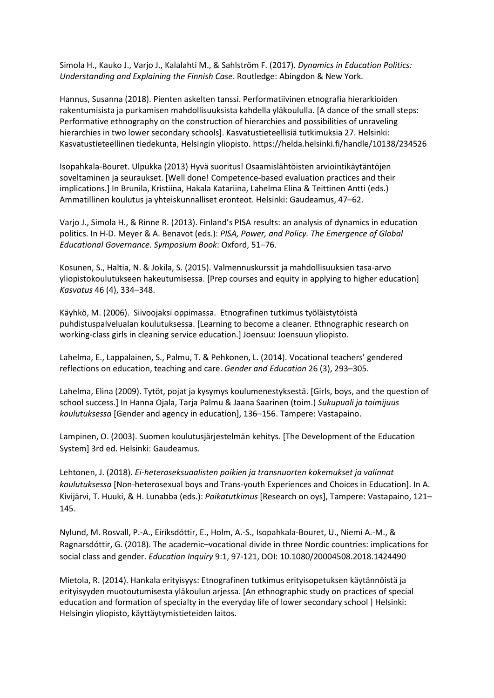Simola H., Kauko J., Varjo J., Kalalahti M., & Sahlström F. (2017). *Dynamics in Education Politics: Understanding and Explaining the Finnish Case*. Routledge: Abingdon & New York.

Hannus, Susanna (2018). Pienten askelten tanssi. Performatiivinen etnografia hierarkioiden rakentumisista ja purkamisen mahdollisuuksista kahdella yläkoululla. [A dance of the small steps: Performative ethnography on the construction of hierarchies and possibilities of unraveling hierarchies in two lower secondary schools]. Kasvatustieteellisiä tutkimuksia 27. Helsinki: Kasvatustieteellinen tiedekunta, Helsingin yliopisto. https://helda.helsinki.fi/handle/10138/234526

Isopahkala-Bouret. Ulpukka (2013) Hyvä suoritus! Osaamislähtöisten arviointikäytäntöjen soveltaminen ja seuraukset. [Well done! Competence-based evaluation practices and their implications.] In Brunila, Kristiina, Hakala Katariina, Lahelma Elina & Teittinen Antti (eds.) Ammatillinen koulutus ja yhteiskunnalliset eronteot. Helsinki: Gaudeamus, 47–62.

Varjo J., Simola H., & Rinne R. (2013). Finland's PISA results: an analysis of dynamics in education politics. In H-D. Meyer & A. Benavot (eds.): *PISA, Power, and Policy. The Emergence of Global Educational Governance. Symposium Book*: Oxford, 51–76.

Kosunen, S., Haltia, N. & Jokila, S. (2015). Valmennuskurssit ja mahdollisuuksien tasa-arvo yliopistokoulutukseen hakeutumisessa. [Prep courses and equity in applying to higher education] *Kasvatus* 46 (4), 334–348.

Käyhkö, M. (2006). Siivoojaksi oppimassa. Etnografinen tutkimus työläistytöistä puhdistuspalvelualan koulutuksessa. [Learning to become a cleaner. Ethnographic research on working-class girls in cleaning service education.] Joensuu: Joensuun yliopisto.

Lahelma, E., Lappalainen, S., Palmu, T. & Pehkonen, L. (2014). Vocational teachers' gendered reflections on education, teaching and care. *Gender and Education* 26 (3), 293–305.

Lahelma, Elina (2009). Tytöt, pojat ja kysymys koulumenestyksestä. [Girls, boys, and the question of school success.] In Hanna Ojala, Tarja Palmu & Jaana Saarinen (toim.) *Sukupuoli ja toimijuus koulutuksessa* [Gender and agency in education], 136–156. Tampere: Vastapaino.

Lampinen, O. (2003). Suomen koulutusjärjestelmän kehitys. [The Development of the Education System] 3rd ed. Helsinki: Gaudeamus.

Lehtonen, J. (2018). *Ei-heteroseksuaalisten poikien ja transnuorten kokemukset ja valinnat koulutuksessa* [Non-heterosexual boys and Trans-youth Experiences and Choices in Education]. In A. Kivijärvi, T. Huuki, & H. Lunabba (eds.): *Poikatutkimus* [Research on oys], Tampere: Vastapaino, 121– 145.

Nylund, M. Rosvall, P.-A., Eiríksdóttir, E., Holm, A.-S., Isopahkala-Bouret, U., Niemi A.-M., & Ragnarsdóttir, G. (2018). The academic–vocational divide in three Nordic countries: implications for social class and gender. *Education Inquiry* 9:1, 97-121, DOI: 10.1080/20004508.2018.1424490

Mietola, R. (2014). Hankala erityisyys: Etnografinen tutkimus erityisopetuksen käytännöistä ja erityisyyden muotoutumisesta yläkoulun arjessa. [An ethnographic study on practices of special education and formation of specialty in the everyday life of lower secondary school ] Helsinki: Helsingin yliopisto, käyttäytymistieteiden laitos.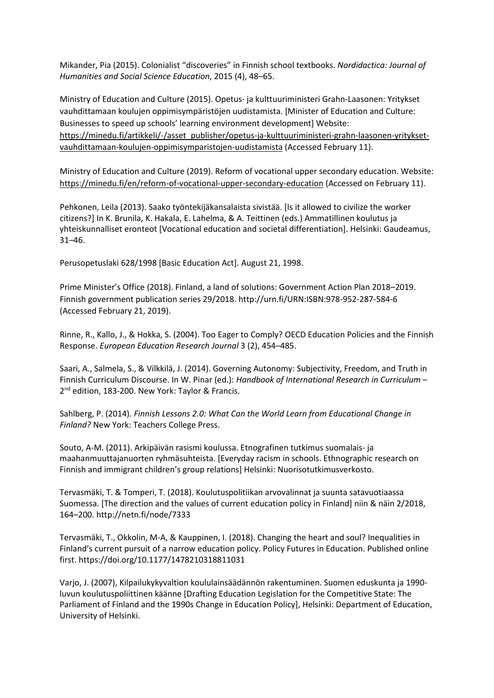Mikander, Pia (2015). Colonialist "discoveries" in Finnish school textbooks. *Nordidactica: Journal of Humanities and Social Science Education*, 2015 (4), 48–65.

Ministry of Education and Culture (2015). Opetus- ja kulttuuriministeri Grahn-Laasonen: Yritykset vauhdittamaan koulujen oppimisympäristöjen uudistamista. [Minister of Education and Culture: Businesses to speed up schools' learning environment development] Website: [https://minedu.fi/artikkeli/-/asset\\_publisher/opetus-ja-kulttuuriministeri-grahn-laasonen-yritykset](https://minedu.fi/artikkeli/-/asset_publisher/opetus-ja-kulttuuriministeri-grahn-laasonen-yritykset-vauhdittamaan-koulujen-oppimisymparistojen-uudistamista)[vauhdittamaan-koulujen-oppimisymparistojen-uudistamista](https://minedu.fi/artikkeli/-/asset_publisher/opetus-ja-kulttuuriministeri-grahn-laasonen-yritykset-vauhdittamaan-koulujen-oppimisymparistojen-uudistamista) (Accessed February 11).

Ministry of Education and Culture (2019). Reform of vocational upper secondary education. Website: <https://minedu.fi/en/reform-of-vocational-upper-secondary-education> (Accessed on February 11).

Pehkonen, Leila (2013). Saako työntekijäkansalaista sivistää. [Is it allowed to civilize the worker citizens?] In K. Brunila, K. Hakala, E. Lahelma, & A. Teittinen (eds.) Ammatillinen koulutus ja yhteiskunnalliset eronteot [Vocational education and societal differentiation]. Helsinki: Gaudeamus, 31–46.

Perusopetuslaki 628/1998 [Basic Education Act]. August 21, 1998.

Prime Minister's Office (2018). Finland, a land of solutions: Government Action Plan 2018–2019. Finnish government publication series 29/2018[. http://urn.fi/URN:ISBN:978-952-287-584-6](http://urn.fi/URN:ISBN:978-952-287-584-6) (Accessed February 21, 2019).

Rinne, R., Kallo, J., & Hokka, S. (2004). Too Eager to Comply? OECD Education Policies and the Finnish Response. *European Education Research Journal* 3 (2), 454–485.

Saari, A., Salmela, S., & Vilkkilä, J. (2014). Governing Autonomy: Subjectivity, Freedom, and Truth in Finnish Curriculum Discourse. In W. Pinar (ed.): *Handbook of International Research in Curriculum* – 2<sup>nd</sup> edition, 183-200. New York: Taylor & Francis.

Sahlberg, P. (2014). *Finnish Lessons 2.0: What Can the World Learn from Educational Change in Finland?* New York: Teachers College Press.

Souto, A-M. (2011). Arkipäivän rasismi koulussa. Etnografinen tutkimus suomalais- ja maahanmuuttajanuorten ryhmäsuhteista. [Everyday racism in schools. Ethnographic research on Finnish and immigrant children's group relations] Helsinki: Nuorisotutkimusverkosto.

Tervasmäki, T. & Tomperi, T. (2018). Koulutuspolitiikan arvovalinnat ja suunta satavuotiaassa Suomessa. [The direction and the values of current education policy in Finland] niin & näin 2/2018, 164–200. http://netn.fi/node/7333

Tervasmäki, T., Okkolin, M-A, & Kauppinen, I. (2018). Changing the heart and soul? Inequalities in Finland's current pursuit of a narrow education policy. Policy Futures in Education. Published online first. [https://doi.org/10.1177/1478210318811031](https://doi.org/10.1177%2F1478210318811031)

Varjo, J. (2007), Kilpailukykyvaltion koululainsäädännön rakentuminen. Suomen eduskunta ja 1990 luvun koulutuspoliittinen käänne [Drafting Education Legislation for the Competitive State: The Parliament of Finland and the 1990s Change in Education Policy], Helsinki: Department of Education, University of Helsinki.